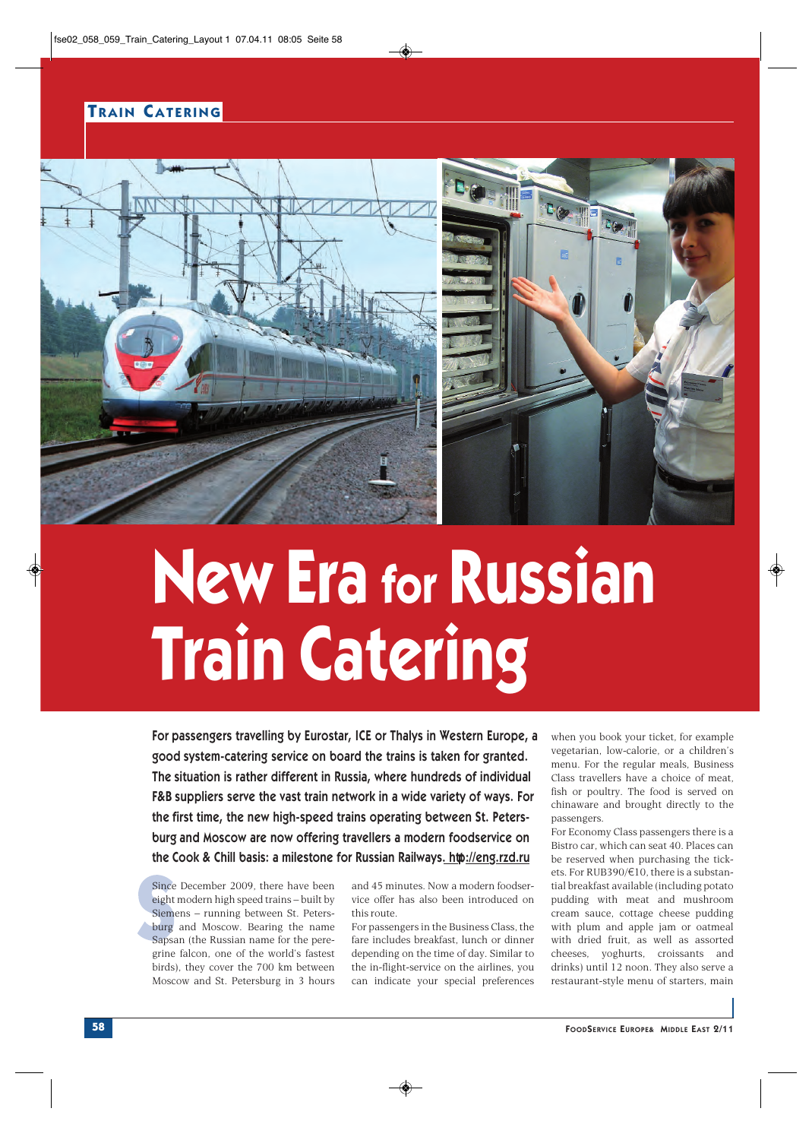## **T RAIN CATERING**



## **New Era for Russian Train Catering**

For passengers travelling by Eurostar, ICE or Thalys in Western Europe, a good system-catering service on board the trains is taken for granted. The situation is rather different in Russia, where hundreds of individual F&B suppliers serve the vast train network in a wide variety of ways. For the first time, the new high-speed trains operating between St. Petersburg and Moscow are now offering travellers a modern foodservice on the Cook & Chill basis: a milestone for Russian Railways[. http://eng.rzd.ru](http://eng.rzd.ru)

Since December 2009, there have been eight modern high speed trains – built by Siemens – running between St. Petersburg and Moscow. Bearing the name Sapsan (the Russian name for the peregrine falcon, one of the world's fastest birds), they cover the 700 km between Moscow and St. Petersburg in 3 hours

and 45 minutes. Now a modern foodservice offer has also been introduced on this route.

For passengers in the Business Class, the fare includes breakfast, lunch or dinner depending on the time of day. Similar to the in-flight-service on the airlines, you can indicate your special preferences when you book your ticket, for example vegetarian, low-calorie, or a children's menu. For the regular meals, Business Class travellers have a choice of meat, fish or poultry. The food is served on chinaware and brought directly to the passengers.

For Economy Class passengers there is a Bistro car, which can seat 40. Places can be reserved when purchasing the tickets. For RUB390/ $\notin$ 10, there is a substantial breakfast available (including potato pudding with meat and mushroom cream sauce, cottage cheese pudding with plum and apple jam or oatmeal with dried fruit, as well as assorted cheeses, yoghurts, croissants and drinks) until 12 noon. They also serve a restaurant-style menu of starters, main